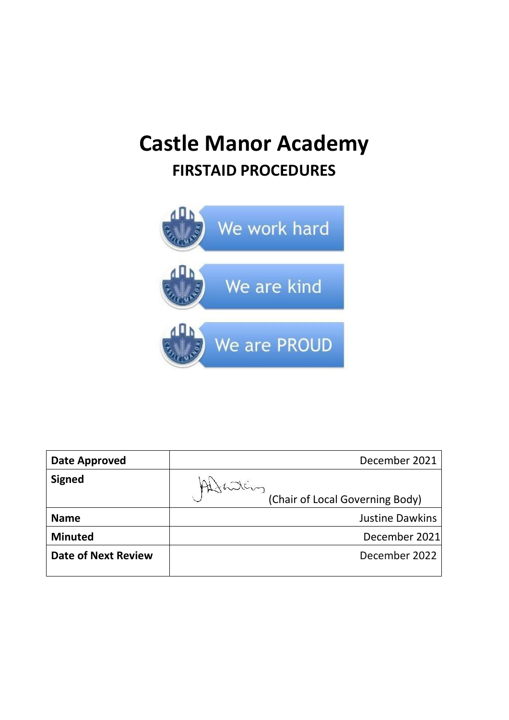# **Castle Manor Academy FIRSTAID PROCEDURES**



| <b>Date Approved</b>       | December 2021                   |
|----------------------------|---------------------------------|
| <b>Signed</b>              |                                 |
|                            | (Chair of Local Governing Body) |
| <b>Name</b>                | <b>Justine Dawkins</b>          |
| <b>Minuted</b>             | December 2021                   |
| <b>Date of Next Review</b> | December 2022                   |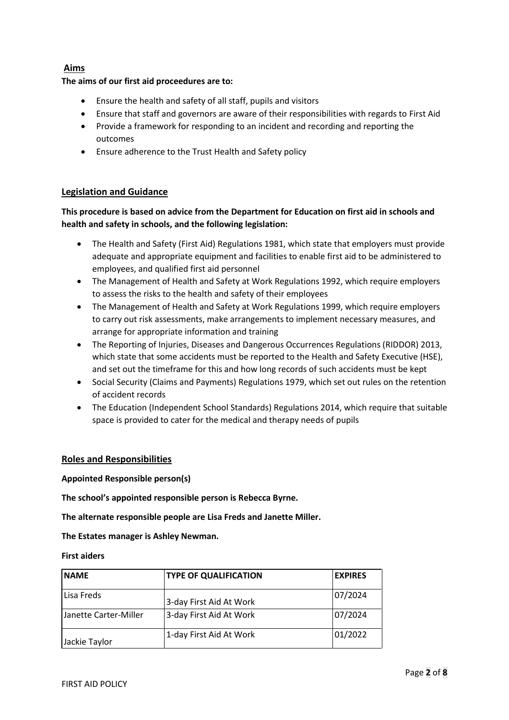## **Aims**

## **The aims of our first aid proceedures are to:**

- Ensure the health and safety of all staff, pupils and visitors
- Ensure that staff and governors are aware of their responsibilities with regards to First Aid
- Provide a framework for responding to an incident and recording and reporting the outcomes
- Ensure adherence to the Trust Health and Safety policy

## **Legislation and Guidance**

**This procedure is based on advice from the Department for Education on first aid in schools and health and safety in schools, and the following legislation:** 

- The Health and Safety (First Aid) Regulations 1981, which state that employers must provide adequate and appropriate equipment and facilities to enable first aid to be administered to employees, and qualified first aid personnel
- The Management of Health and Safety at Work Regulations 1992, which require employers to assess the risks to the health and safety of their employees
- The Management of Health and Safety at Work Regulations 1999, which require employers to carry out risk assessments, make arrangements to implement necessary measures, and arrange for appropriate information and training
- The Reporting of Injuries, Diseases and Dangerous Occurrences Regulations (RIDDOR) 2013, which state that some accidents must be reported to the Health and Safety Executive (HSE), and set out the timeframe for this and how long records of such accidents must be kept
- Social Security (Claims and Payments) Regulations 1979, which set out rules on the retention of accident records
- The Education (Independent School Standards) Regulations 2014, which require that suitable space is provided to cater for the medical and therapy needs of pupils

## **Roles and Responsibilities**

**Appointed Responsible person(s)**

**The school's appointed responsible person is Rebecca Byrne.**

**The alternate responsible people are Lisa Freds and Janette Miller.**

**The Estates manager is Ashley Newman.**

#### **First aiders**

| <b>NAME</b>           | <b>TYPE OF QUALIFICATION</b> | <b>EXPIRES</b> |
|-----------------------|------------------------------|----------------|
| Lisa Freds            | 3-day First Aid At Work      | 07/2024        |
| Janette Carter-Miller | 3-day First Aid At Work      | 07/2024        |
| Jackie Taylor         | 1-day First Aid At Work      | 01/2022        |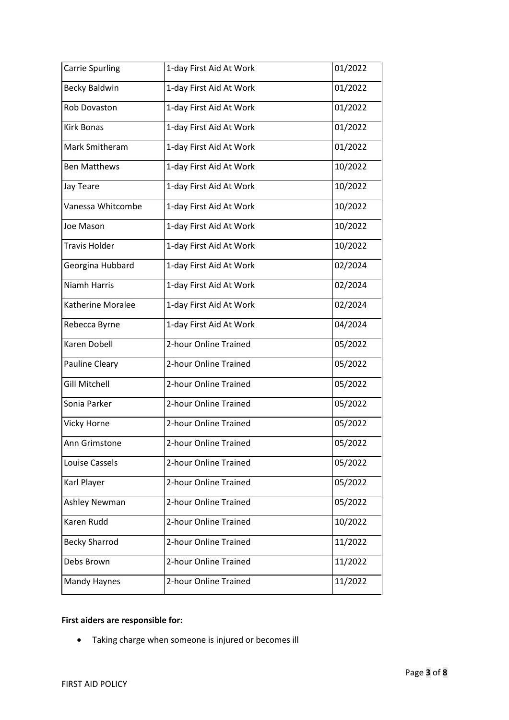| <b>Carrie Spurling</b> | 1-day First Aid At Work | 01/2022 |
|------------------------|-------------------------|---------|
| <b>Becky Baldwin</b>   | 1-day First Aid At Work | 01/2022 |
| Rob Dovaston           | 1-day First Aid At Work | 01/2022 |
| <b>Kirk Bonas</b>      | 1-day First Aid At Work | 01/2022 |
| Mark Smitheram         | 1-day First Aid At Work | 01/2022 |
| <b>Ben Matthews</b>    | 1-day First Aid At Work | 10/2022 |
| Jay Teare              | 1-day First Aid At Work | 10/2022 |
| Vanessa Whitcombe      | 1-day First Aid At Work | 10/2022 |
| Joe Mason              | 1-day First Aid At Work | 10/2022 |
| <b>Travis Holder</b>   | 1-day First Aid At Work | 10/2022 |
| Georgina Hubbard       | 1-day First Aid At Work | 02/2024 |
| <b>Niamh Harris</b>    | 1-day First Aid At Work | 02/2024 |
| Katherine Moralee      | 1-day First Aid At Work | 02/2024 |
| Rebecca Byrne          | 1-day First Aid At Work | 04/2024 |
| Karen Dobell           | 2-hour Online Trained   | 05/2022 |
| Pauline Cleary         | 2-hour Online Trained   | 05/2022 |
| <b>Gill Mitchell</b>   | 2-hour Online Trained   | 05/2022 |
| Sonia Parker           | 2-hour Online Trained   | 05/2022 |
| Vicky Horne            | 2-hour Online Trained   | 05/2022 |
| Ann Grimstone          | 2-hour Online Trained   | 05/2022 |
| Louise Cassels         | 2-hour Online Trained   | 05/2022 |
| Karl Player            | 2-hour Online Trained   | 05/2022 |
| Ashley Newman          | 2-hour Online Trained   | 05/2022 |
| Karen Rudd             | 2-hour Online Trained   | 10/2022 |
| <b>Becky Sharrod</b>   | 2-hour Online Trained   | 11/2022 |
| Debs Brown             | 2-hour Online Trained   | 11/2022 |
| Mandy Haynes           | 2-hour Online Trained   | 11/2022 |

# **First aiders are responsible for:**

• Taking charge when someone is injured or becomes ill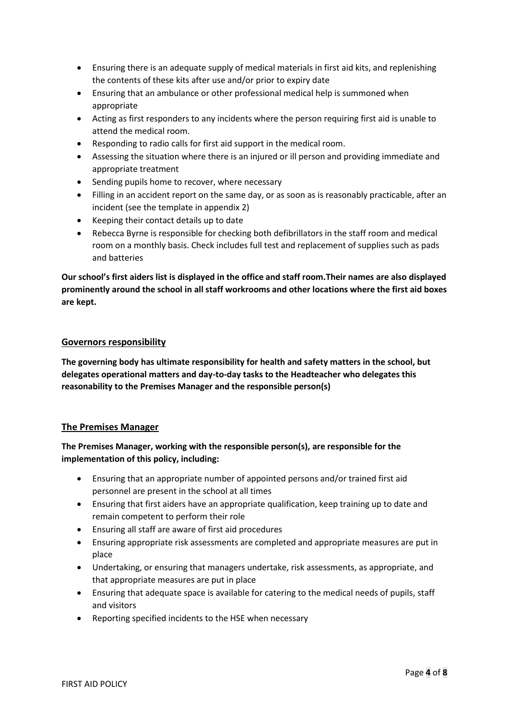- Ensuring there is an adequate supply of medical materials in first aid kits, and replenishing the contents of these kits after use and/or prior to expiry date
- Ensuring that an ambulance or other professional medical help is summoned when appropriate
- Acting as first responders to any incidents where the person requiring first aid is unable to attend the medical room.
- Responding to radio calls for first aid support in the medical room.
- Assessing the situation where there is an injured or ill person and providing immediate and appropriate treatment
- Sending pupils home to recover, where necessary
- Filling in an accident report on the same day, or as soon as is reasonably practicable, after an incident (see the template in appendix 2)
- Keeping their contact details up to date
- Rebecca Byrne is responsible for checking both defibrillators in the staff room and medical room on a monthly basis. Check includes full test and replacement of supplies such as pads and batteries

**Our school's first aiders list is displayed in the office and staff room.Their names are also displayed prominently around the school in all staff workrooms and other locations where the first aid boxes are kept.** 

## **Governors responsibility**

**The governing body has ultimate responsibility for health and safety matters in the school, but delegates operational matters and day-to-day tasks to the Headteacher who delegates this reasonability to the Premises Manager and the responsible person(s)**

## **The Premises Manager**

**The Premises Manager, working with the responsible person(s), are responsible for the implementation of this policy, including:** 

- Ensuring that an appropriate number of appointed persons and/or trained first aid personnel are present in the school at all times
- Ensuring that first aiders have an appropriate qualification, keep training up to date and remain competent to perform their role
- Ensuring all staff are aware of first aid procedures
- Ensuring appropriate risk assessments are completed and appropriate measures are put in place
- Undertaking, or ensuring that managers undertake, risk assessments, as appropriate, and that appropriate measures are put in place
- Ensuring that adequate space is available for catering to the medical needs of pupils, staff and visitors
- Reporting specified incidents to the HSE when necessary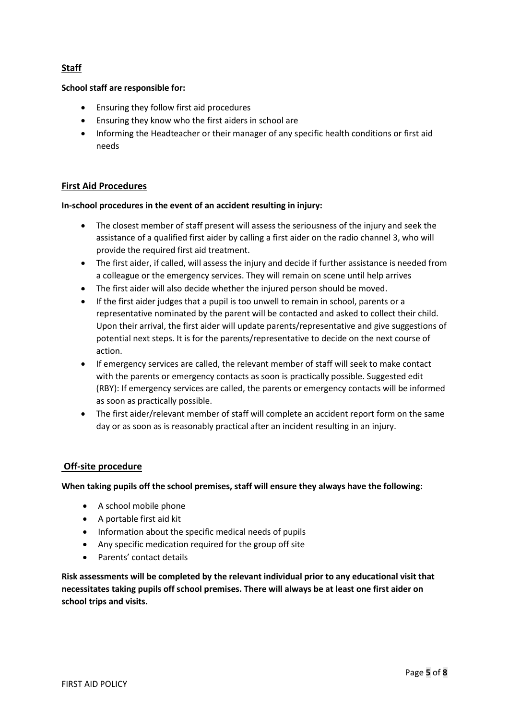# **Staff**

## **School staff are responsible for:**

- Ensuring they follow first aid procedures
- Ensuring they know who the first aiders in school are
- Informing the Headteacher or their manager of any specific health conditions or first aid needs

## **First Aid Procedures**

#### **In-school procedures in the event of an accident resulting in injury:**

- The closest member of staff present will assess the seriousness of the injury and seek the assistance of a qualified first aider by calling a first aider on the radio channel 3, who will provide the required first aid treatment.
- The first aider, if called, will assess the injury and decide if further assistance is needed from a colleague or the emergency services. They will remain on scene until help arrives
- The first aider will also decide whether the injured person should be moved.
- If the first aider judges that a pupil is too unwell to remain in school, parents or a representative nominated by the parent will be contacted and asked to collect their child. Upon their arrival, the first aider will update parents/representative and give suggestions of potential next steps. It is for the parents/representative to decide on the next course of action.
- If emergency services are called, the relevant member of staff will seek to make contact with the parents or emergency contacts as soon is practically possible. Suggested edit (RBY): If emergency services are called, the parents or emergency contacts will be informed as soon as practically possible.
- The first aider/relevant member of staff will complete an accident report form on the same day or as soon as is reasonably practical after an incident resulting in an injury.

#### **Off-site procedure**

**When taking pupils off the school premises, staff will ensure they always have the following:**

- A school mobile phone
- A portable first aid kit
- Information about the specific medical needs of pupils
- Any specific medication required for the group off site
- Parents' contact details

**Risk assessments will be completed by the relevant individual prior to any educational visit that necessitates taking pupils off school premises. There will always be at least one first aider on school trips and visits.**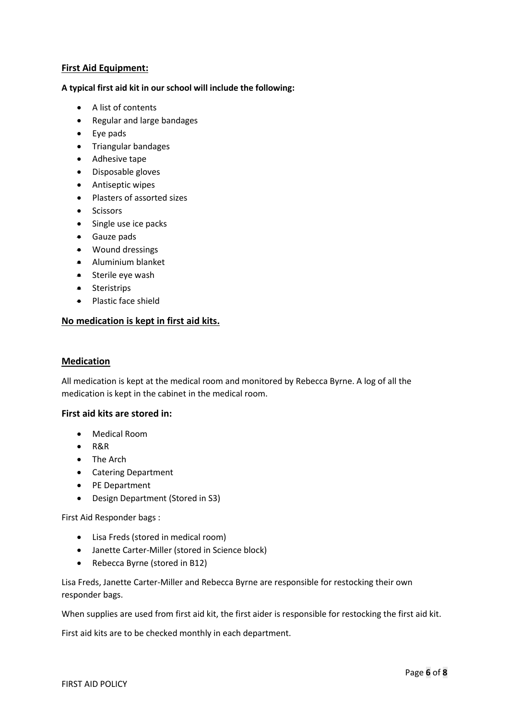## **First Aid Equipment:**

#### **A typical first aid kit in our school will include the following:**

- A list of contents
- Regular and large bandages
- Eye pads
- Triangular bandages
- Adhesive tape
- Disposable gloves
- Antiseptic wipes
- Plasters of assorted sizes
- Scissors
- Single use ice packs
- Gauze pads
- Wound dressings
- Aluminium blanket
- Sterile eye wash
- Steristrips
- Plastic face shield

## **No medication is kept in first aid kits.**

#### **Medication**

All medication is kept at the medical room and monitored by Rebecca Byrne. A log of all the medication is kept in the cabinet in the medical room.

#### **First aid kits are stored in:**

- Medical Room
- R&R
- The Arch
- Catering Department
- PE Department
- Design Department (Stored in S3)

First Aid Responder bags :

- Lisa Freds (stored in medical room)
- Janette Carter-Miller (stored in Science block)
- Rebecca Byrne (stored in B12)

Lisa Freds, Janette Carter-Miller and Rebecca Byrne are responsible for restocking their own responder bags.

When supplies are used from first aid kit, the first aider is responsible for restocking the first aid kit.

First aid kits are to be checked monthly in each department.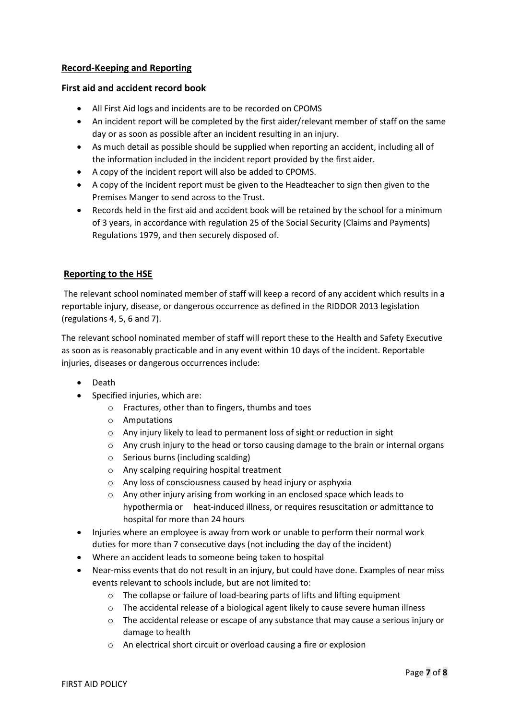## **Record-Keeping and Reporting**

#### **First aid and accident record book**

- All First Aid logs and incidents are to be recorded on CPOMS
- An incident report will be completed by the first aider/relevant member of staff on the same day or as soon as possible after an incident resulting in an injury.
- As much detail as possible should be supplied when reporting an accident, including all of the information included in the incident report provided by the first aider.
- A copy of the incident report will also be added to CPOMS.
- A copy of the Incident report must be given to the Headteacher to sign then given to the Premises Manger to send across to the Trust.
- Records held in the first aid and accident book will be retained by the school for a minimum of 3 years, in accordance with regulation 25 of the Social Security (Claims and Payments) Regulations 1979, and then securely disposed of.

## **Reporting to the HSE**

The relevant school nominated member of staff will keep a record of any accident which results in a reportable injury, disease, or dangerous occurrence as defined in the RIDDOR 2013 legislation (regulations 4, 5, 6 and 7).

The relevant school nominated member of staff will report these to the Health and Safety Executive as soon as is reasonably practicable and in any event within 10 days of the incident. Reportable injuries, diseases or dangerous occurrences include:

- Death
- Specified injuries, which are:
	- o Fractures, other than to fingers, thumbs and toes
	- o Amputations
	- o Any injury likely to lead to permanent loss of sight or reduction in sight
	- o Any crush injury to the head or torso causing damage to the brain or internal organs
	- o Serious burns (including scalding)
	- o Any scalping requiring hospital treatment
	- o Any loss of consciousness caused by head injury or asphyxia
	- o Any other injury arising from working in an enclosed space which leads to hypothermia or heat-induced illness, or requires resuscitation or admittance to hospital for more than 24 hours
- Injuries where an employee is away from work or unable to perform their normal work duties for more than 7 consecutive days (not including the day of the incident)
- Where an accident leads to someone being taken to hospital
- Near-miss events that do not result in an injury, but could have done. Examples of near miss events relevant to schools include, but are not limited to:
	- o The collapse or failure of load-bearing parts of lifts and lifting equipment
	- o The accidental release of a biological agent likely to cause severe human illness
	- o The accidental release or escape of any substance that may cause a serious injury or damage to health
	- o An electrical short circuit or overload causing a fire or explosion